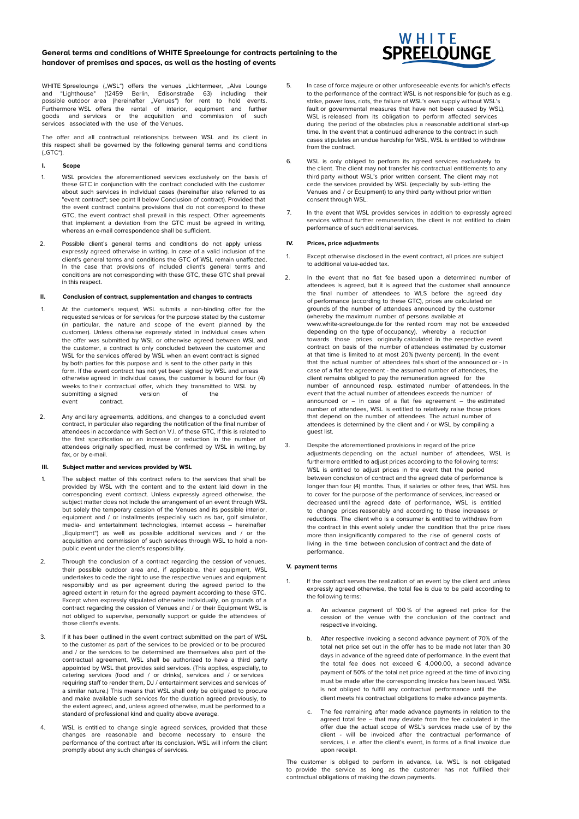## **General terms and conditions of WHITE Spreelounge for contracts pertaining to the handover of premises and spaces, as well as the hosting of events**



WHITE Spreelounge ("WSL") offers the venues "Lichtermeer, "Alva Lounge<br>and "Lighthouse" (12459 Berlin, Edisonstraße 63) including their and "Lighthouse" (12459 Berlin, Edisonstraße 63) including their possible outdoor area (hereinafter "Venues") for rent to hold events. Furthermore WSL offers the rental of interior, equipment and further goods and services or the acquisition and commission of such services associated with the use of the Venues.

The offer and all contractual relationships between WSL and its client in this respect shall be governed by the following general terms and conditions  $(.GTC")$ .

## **I. Scope**

- 1. WSL provides the aforementioned services exclusively on the basis of these GTC in conjunction with the contract concluded with the customer about such services in individual cases (hereinafter also referred to as "event contract"; see point II below Conclusion of contract). Provided that the event contract contains provisions that do not correspond to these GTC, the event contract shall prevail in this respect. Other agreements that implement a deviation from the GTC must be agreed in writing, whereas an e-mail correspondence shall be sufficient.
- 2. Possible client's general terms and conditions do not apply unless expressly agreed otherwise in writing. In case of a valid inclusion of the client's general terms and conditions the GTC of WSL remain unaffected. In the case that provisions of included client's general terms and conditions are not corresponding with these GTC, these GTC shall prevail in this respect.

### **II. Conclusion of contract, supplementation and changes to contracts**

- 1. At the customer's request, WSL submits a non-binding offer for the requested services or for services for the purpose stated by the customer (in particular, the nature and scope of the event planned by the customer). Unless otherwise expressly stated in individual cases when the offer was submitted by WSL or otherwise agreed between WSL and the customer, a contract is only concluded between the customer and WSL for the services offered by WSL when an event contract is signed by both parties for this purpose and is sent to the other party in this form. If the event contract has not yet been signed by WSL and unless otherwise agreed in individual cases, the customer is bound for four (4) weeks to their contractual offer, which they transmitted to WSL by submitting a signed version of the<br>event contract. contract.
- 2. Any ancillary agreements, additions, and changes to a concluded event contract, in particular also regarding the notification of the final number of attendees in accordance with Section V.I. of these GTC, if this is related to the first specification or an increase or reduction in the number of attendees originally specified, must be confirmed by WSL in writing, by fax, or by e-mail.

### **III. Subject matter and services provided by WSL**

- 1. The subject matter of this contract refers to the services that shall be provided by WSL with the content and to the extent laid down in the corresponding event contract. Unless expressly agreed otherwise, the subject matter does not include the arrangement of an event through WSL but solely the temporary cession of the Venues and its possible interior, equipment and / or installments (especially such as bar, golf simulator, media- and entertainment technologies, internet access – hereinafter "Equipment") as well as possible additional services and / or the acquisition and commission of such services through WSL to hold a nonpublic event under the client's responsibility.
- 2. Through the conclusion of a contract regarding the cession of venues, their possible outdoor area and, if applicable, their equipment, WSL undertakes to cede the right to use the respective venues and equipment responsibly and as per agreement during the agreed period to the agreed extent in return for the agreed payment according to these GTC. Except when expressly stipulated otherwise individually, on grounds of a contract regarding the cession of Venues and / or their Equipment WSL is not obliged to supervise, personally support or guide the attendees of those client's events.
- 3. If it has been outlined in the event contract submitted on the part of WSL to the customer as part of the services to be provided or to be procured and / or the services to be determined are themselves also part of the contractual agreement, WSL shall be authorized to have a third party appointed by WSL that provides said services. (This applies, especially, to catering services (food and / or drinks), services and / or services requiring staff to render them, DJ / entertainment services and services of a similar nature.) This means that WSL shall only be obligated to procure and make available such services for the duration agreed previously, to the extent agreed, and, unless agreed otherwise, must be performed to a standard of professional kind and quality above average.
- 4. WSL is entitled to change single agreed services, provided that these changes are reasonable and become necessary to ensure the performance of the contract after its conclusion. WSL will inform the client promptly about any such changes of services.
- 5. In case of force majeure or other unforeseeable events for which's effects to the performance of the contract WSL is not responsible for (such as e.g. strike, power loss, riots, the failure of WSL's own supply without WSL's fault or governmental measures that have not been caused by WSL), WSL is released from its obligation to perform affected services during the period of the obstacles plus a reasonable additional start-up time. In the event that a continued adherence to the contract in such cases stipulates an undue hardship for WSL, WSL is entitled to withdraw from the contract.
- 6. WSL is only obliged to perform its agreed services exclusively to the client. The client may not transfer his contractual entitlements to any third party without WSL's prior written consent. The client may not cede the services provided by WSL (especially by sub-letting the Venues and / or Equipment) to any third party without prior written consent through WSL.
- 7. In the event that WSL provides services in addition to expressly agreed services without further remuneration, the client is not entitled to claim performance of such additional services.

### **IV. Prices, price adjustments**

- 1. Except otherwise disclosed in the event contract, all prices are subject to additional value-added tax.
- 2. In the event that no flat fee based upon a determined number of attendees is agreed, but it is agreed that the customer shall announce the final number of attendees to WLS before the agreed day of performance (according to these GTC), prices are calculated on grounds of the number of attendees announced by the customer (whereby the maximum number of persons available at www.white-spreelounge.de for the rented room may not be exceeded depending on the type of occupancy), whereby a reduction towards those prices originally calculated in the respective event contract on basis of the number of attendees estimated by customer at that time is limited to at most 20% (twenty percent). In the event that the actual number of attendees falls short of the announced or - in case of a flat fee agreement - the assumed number of attendees, the client remains obliged to pay the remuneration agreed for the number of announced resp. estimated number of attendees. In the event that the actual number of attendees exceeds the number of announced or  $-$  in case of a flat fee agreement  $-$  the estimated number of attendees, WSL is entitled to relatively raise those prices that depend on the number of attendees. The actual number of attendees is determined by the client and / or WSL by compiling a guest list.
- 3. Despite the aforementioned provisions in regard of the price adjustments depending on the actual number of attendees, WSL is furthermore entitled to adjust prices according to the following terms: WSL is entitled to adjust prices in the event that the period between conclusion of contract and the agreed date of performance is longer than four (4) months. Thus, if salaries or other fees, that WSL has to cover for the purpose of the performance of services, increased or decreased until the agreed date of performance, WSL is entitled to change prices reasonably and according to these increases or reductions. The client who is a consumer is entitled to withdraw from the contract in this event solely under the condition that the price rises more than insignificantly compared to the rise of general costs of living in the time between conclusion of contract and the date of performance.

### **V. payment terms**

- If the contract serves the realization of an event by the client and unless expressly agreed otherwise, the total fee is due to be paid according to the following terms:
	- a. An advance payment of 100 % of the agreed net price for the cession of the venue with the conclusion of the contract and respective invoicing.
	- b. After respective invoicing a second advance payment of 70% of the total net price set out in the offer has to be made not later than 30 days in advance of the agreed date of performance. In the event that the total fee does not exceed  $\epsilon$  4,000.00, a second advance payment of 50% of the total net price agreed at the time of invoicing must be made after the corresponding invoice has been issued. WSL is not obliged to fulfill any contractual performance until the client meets his contractual obligations to make advance payments.
	- c. The fee remaining after made advance payments in relation to the agreed total fee that may deviate from the fee calculated in the offer due the actual scope of WSL's services made use of by the client - will be invoiced after the contractual performance of services, i. e. after the client's event, in forms of a final invoice due upon receipt.

The customer is obliged to perform in advance, i.e. WSL is not obligated to provide the service as long as the customer has not fulfilled their contractual obligations of making the down payments.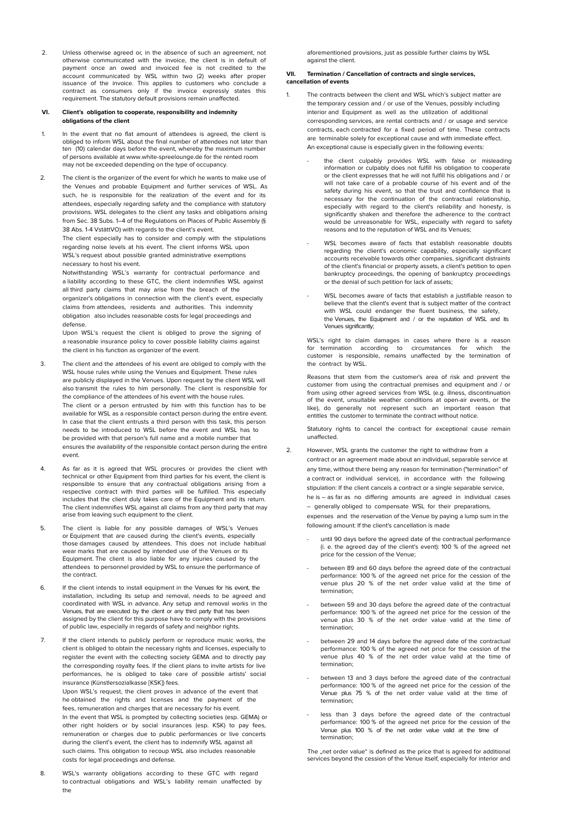2. Unless otherwise agreed or, in the absence of such an agreement, not otherwise communicated with the invoice, the client is in default of payment once an owed and invoiced fee is not credited to the account communicated by WSL within two (2) weeks after proper issuance of the invoice. This applies to customers who conclude a contract as consumers only if the invoice expressly states this requirement. The statutory default provisions remain unaffected.

## **VI. Client's obligation to cooperate, responsibility and indemnity obligations of the client**

- 1. In the event that no flat amount of attendees is agreed, the client is obliged to inform WSL about the final number of attendees not later than ten (10) calendar days before the event, whereby the maximum number of persons available at www.white-spreelounge.de for the rented room may not be exceeded depending on the type of occupancy.
- 2. The client is the organizer of the event for which he wants to make use of the Venues and probable Equipment and further services of WSL. As such, he is responsible for the realization of the event and for its attendees, especially regarding safety and the compliance with statutory provisions. WSL delegates to the client any tasks and obligations arising from Sec. 38 Subs. 1–4 of the Regulations on Places of Public Assembly (§ 38 Abs. 1-4 VstättVO) with regards to the client's event.

The client especially has to consider and comply with the stipulations regarding noise levels at his event. The client informs WSL upon WSL's request about possible granted administrative exemptions necessary to host his event.

Notwithstanding WSL's warranty for contractual performance and a liability according to these GTC, the client indemnifies WSL against all third party claims that may arise from the breach of the organizer's obligations in connection with the client's event, especially claims from attendees, residents and authorities. This indemnity obligation also includes reasonable costs for legal proceedings and defense.

Upon WSL's request the client is obliged to prove the signing of a reasonable insurance policy to cover possible liability claims against the client in his function as organizer of the event.

- 3. The client and the attendees of his event are obliged to comply with the WSL house rules while using the Venues and Equipment. These rules are publicly displayed in the Venues. Upon request by the client WSL will also transmit the rules to him personally. The client is responsible for the compliance of the attendees of his event with the house rules. The client or a person entrusted by him with this function has to be available for WSL as a responsible contact person during the entire event. In case that the client entrusts a third person with this task, this person needs to be introduced to WSL before the event and WSL has to be provided with that person's full name and a mobile number that ensures the availability of the responsible contact person during the entire event.
- 4. As far as it is agreed that WSL procures or provides the client with technical or other Equipment from third parties for his event, the client is responsible to ensure that any contractual obligations arising from a respective contract with third parties will be fulfilled. This especially includes that the client duly takes care of the Equipment and its return. The client indemnifies WSL against all claims from any third party that may arise from leaving such equipment to the client.
- 5. The client is liable for any possible damages of WSL's Venues or Equipment that are caused during the client's events, especially those damages caused by attendees. This does not include habitual wear marks that are caused by intended use of the Venues or its Equipment. The client is also liable for any injuries caused by the attendees to personnel provided by WSL to ensure the performance of the contract.
- 6. If the client intends to install equipment in the Venues for his event, the installation, including its setup and removal, needs to be agreed and coordinated with WSL in advance. Any setup and removal works in the Venues, that are executed by the client or any third party that has been assigned by the client for this purpose have to comply with the provisions of public law, especially in regards of safety and neighbor rights.
- 7. If the client intends to publicly perform or reproduce music works, the client is obliged to obtain the necessary rights and licenses, especially to register the event with the collecting society GEMA and to directly pay the corresponding royalty fees. If the client plans to invite artists for live performances, he is obliged to take care of possible artists' social insurance (Künstlersozialkasse [KSK]) fees. Upon WSL's request, the client proves in advance of the event that

he obtained the rights and licenses and the payment of the fees, remuneration and charges that are necessary for his event. In the event that WSL is prompted by collecting societies (esp. GEMA) or other right holders or by social insurances (esp. KSK) to pay fees, remuneration or charges due to public performances or live concerts during the client's event, the client has to indemnify WSL against all such claims. This obligation to recoup WSL also includes reasonable costs for legal proceedings and defense.

8. WSL's warranty obligations according to these GTC with regard to contractual obligations and WSL's liability remain unaffected by the

aforementioned provisions, just as possible further claims by WSL against the client.

### **VII. Termination / Cancellation of contracts and single services, cancellation of events**

- 1. The contracts between the client and WSL which's subject matter are the temporary cession and / or use of the Venues, possibly including interior and Equipment as well as the utilization of additional corresponding services, are rental contracts and / or usage and service contracts, each contracted for a fixed period of time. These contracts are terminable solely for exceptional cause and with immediate effect. An exceptional cause is especially given in the following events
	- the client culpably provides WSL with false or misleading information or culpably does not fulfill his obligation to cooperate or the client expresses that he will not fulfill his obligations and / or will not take care of a probable course of his event and of the safety during his event, so that the trust and confidence that is necessary for the continuation of the contractual relationship, especially with regard to the client's reliability and honesty, is significantly shaken and therefore the adherence to the contract would be unreasonable for WSL, especially with regard to safety reasons and to the reputation of WSL and its Venues;
	- WSL becomes aware of facts that establish reasonable doubts regarding the client's economic capability, especially significant accounts receivable towards other companies, significant distraints of the client's financial or property assets, a client's petition to open bankruptcy proceedings, the opening of bankruptcy proceedings or the denial of such petition for lack of assets;
	- WSL becomes aware of facts that establish a justifiable reason to believe that the client's event that is subject matter of the contract with WSL could endanger the fluent business, the safety, the Venues, the Equipment and / or the reputation of WSL and its Venues significantly;

WSL's right to claim damages in cases where there is a reason for termination according to circumstances for which the customer is responsible, remains unaffected by the termination of the contract by WSL.

Reasons that stem from the customer's area of risk and prevent the customer from using the contractual premises and equipment and / or from using other agreed services from WSL (e.g. illness, discontinuation of the event, unsuitable weather conditions at open-air events, or the like), do generally not represent such an important reason that entitles the customer to terminate the contract without notice.

Statutory rights to cancel the contract for exceptional cause remain unaffected.

- 2. However, WSL grants the customer the right to withdraw from a contract or an agreement made about an individual, separable service at any time, without there being any reason for termination ("termination" of a contract or individual service), in accordance with the following stipulation: If the client cancels a contract or a single separable service, he is – as far as no differing amounts are agreed in individual cases – generally obliged to compensate WSL for their preparations, expenses and the reservation of the Venue by paying a lump sum in the following amount: If the client's cancellation is made
	- until 90 days before the agreed date of the contractual performance (i. e. the agreed day of the client's event): 100 % of the agreed net price for the cession of the Venue;
	- between 89 and 60 days before the agreed date of the contractual performance: 100 % of the agreed net price for the cession of the venue plus 20 % of the net order value valid at the time of termination;
	- between 59 and 30 days before the agreed date of the contractual performance: 100 % of the agreed net price for the cession of the venue plus 30 % of the net order value valid at the time of termination;
	- between 29 and 14 days before the agreed date of the contractual performance: 100 % of the agreed net price for the cession of the venue plus 40 % of the net order value valid at the time of termination;
	- between 13 and 3 days before the agreed date of the contractual performance: 100 % of the agreed net price for the cession of the Venue plus 75 % of the net order value valid at the time of termination;
	- less than 3 days before the agreed date of the contractual performance: 100 % of the agreed net price for the cession of the Venue plus 100 % of the net order value valid at the time of termination;

The "net order value" is defined as the price that is agreed for additional services beyond the cession of the Venue itself, especially for interior and